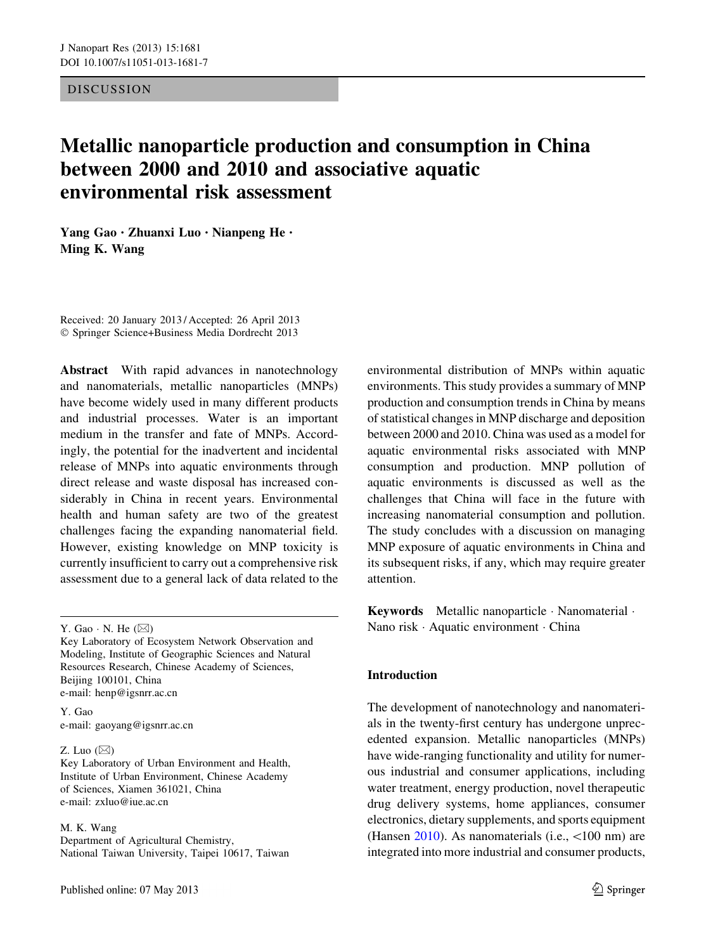#### **DISCUSSION**

# Metallic nanoparticle production and consumption in China between 2000 and 2010 and associative aquatic environmental risk assessment

Yang Gao • Zhuanxi Luo • Nianpeng He • Ming K. Wang

Received: 20 January 2013 / Accepted: 26 April 2013 - Springer Science+Business Media Dordrecht 2013

Abstract With rapid advances in nanotechnology and nanomaterials, metallic nanoparticles (MNPs) have become widely used in many different products and industrial processes. Water is an important medium in the transfer and fate of MNPs. Accordingly, the potential for the inadvertent and incidental release of MNPs into aquatic environments through direct release and waste disposal has increased considerably in China in recent years. Environmental health and human safety are two of the greatest challenges facing the expanding nanomaterial field. However, existing knowledge on MNP toxicity is currently insufficient to carry out a comprehensive risk assessment due to a general lack of data related to the

Y. Gao e-mail: gaoyang@igsnrr.ac.cn

#### Z. Luo  $(\boxtimes)$

Key Laboratory of Urban Environment and Health, Institute of Urban Environment, Chinese Academy of Sciences, Xiamen 361021, China e-mail: zxluo@iue.ac.cn

#### M. K. Wang

Department of Agricultural Chemistry, National Taiwan University, Taipei 10617, Taiwan environmental distribution of MNPs within aquatic environments. This study provides a summary of MNP production and consumption trends in China by means of statistical changes in MNP discharge and deposition between 2000 and 2010. China was used as a model for aquatic environmental risks associated with MNP consumption and production. MNP pollution of aquatic environments is discussed as well as the challenges that China will face in the future with increasing nanomaterial consumption and pollution. The study concludes with a discussion on managing MNP exposure of aquatic environments in China and its subsequent risks, if any, which may require greater attention.

Keywords Metallic nanoparticle · Nanomaterial · Nano risk - Aquatic environment - China

## Introduction

The development of nanotechnology and nanomaterials in the twenty-first century has undergone unprecedented expansion. Metallic nanoparticles (MNPs) have wide-ranging functionality and utility for numerous industrial and consumer applications, including water treatment, energy production, novel therapeutic drug delivery systems, home appliances, consumer electronics, dietary supplements, and sports equipment (Hansen [2010](#page-8-0)). As nanomaterials (i.e.,  $\leq 100$  nm) are integrated into more industrial and consumer products,

Y. Gao  $\cdot$  N. He  $(\boxtimes)$ 

Key Laboratory of Ecosystem Network Observation and Modeling, Institute of Geographic Sciences and Natural Resources Research, Chinese Academy of Sciences, Beijing 100101, China e-mail: henp@igsnrr.ac.cn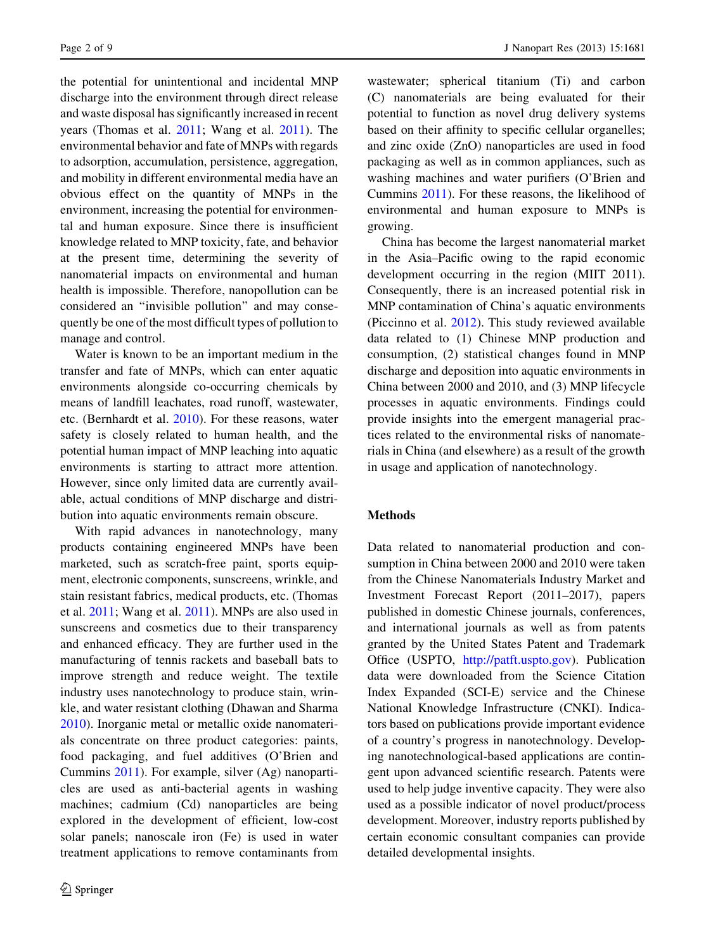the potential for unintentional and incidental MNP discharge into the environment through direct release and waste disposal has significantly increased in recent years (Thomas et al. [2011;](#page-8-0) Wang et al. [2011\)](#page-8-0). The environmental behavior and fate of MNPs with regards to adsorption, accumulation, persistence, aggregation, and mobility in different environmental media have an obvious effect on the quantity of MNPs in the environment, increasing the potential for environmental and human exposure. Since there is insufficient knowledge related to MNP toxicity, fate, and behavior at the present time, determining the severity of nanomaterial impacts on environmental and human health is impossible. Therefore, nanopollution can be considered an ''invisible pollution'' and may consequently be one of the most difficult types of pollution to manage and control.

Water is known to be an important medium in the transfer and fate of MNPs, which can enter aquatic environments alongside co-occurring chemicals by means of landfill leachates, road runoff, wastewater, etc. (Bernhardt et al. [2010](#page-7-0)). For these reasons, water safety is closely related to human health, and the potential human impact of MNP leaching into aquatic environments is starting to attract more attention. However, since only limited data are currently available, actual conditions of MNP discharge and distribution into aquatic environments remain obscure.

With rapid advances in nanotechnology, many products containing engineered MNPs have been marketed, such as scratch-free paint, sports equipment, electronic components, sunscreens, wrinkle, and stain resistant fabrics, medical products, etc. (Thomas et al. [2011](#page-8-0); Wang et al. [2011](#page-8-0)). MNPs are also used in sunscreens and cosmetics due to their transparency and enhanced efficacy. They are further used in the manufacturing of tennis rackets and baseball bats to improve strength and reduce weight. The textile industry uses nanotechnology to produce stain, wrinkle, and water resistant clothing (Dhawan and Sharma [2010\)](#page-7-0). Inorganic metal or metallic oxide nanomaterials concentrate on three product categories: paints, food packaging, and fuel additives (O'Brien and Cummins [2011\)](#page-8-0). For example, silver (Ag) nanoparticles are used as anti-bacterial agents in washing machines; cadmium (Cd) nanoparticles are being explored in the development of efficient, low-cost solar panels; nanoscale iron (Fe) is used in water treatment applications to remove contaminants from wastewater; spherical titanium (Ti) and carbon (C) nanomaterials are being evaluated for their potential to function as novel drug delivery systems based on their affinity to specific cellular organelles; and zinc oxide (ZnO) nanoparticles are used in food packaging as well as in common appliances, such as washing machines and water purifiers (O'Brien and Cummins [2011\)](#page-8-0). For these reasons, the likelihood of environmental and human exposure to MNPs is growing.

China has become the largest nanomaterial market in the Asia–Pacific owing to the rapid economic development occurring in the region (MIIT 2011). Consequently, there is an increased potential risk in MNP contamination of China's aquatic environments (Piccinno et al. [2012\)](#page-8-0). This study reviewed available data related to (1) Chinese MNP production and consumption, (2) statistical changes found in MNP discharge and deposition into aquatic environments in China between 2000 and 2010, and (3) MNP lifecycle processes in aquatic environments. Findings could provide insights into the emergent managerial practices related to the environmental risks of nanomaterials in China (and elsewhere) as a result of the growth in usage and application of nanotechnology.

#### Methods

Data related to nanomaterial production and consumption in China between 2000 and 2010 were taken from the Chinese Nanomaterials Industry Market and Investment Forecast Report (2011–2017), papers published in domestic Chinese journals, conferences, and international journals as well as from patents granted by the United States Patent and Trademark Office (USPTO, [http://patft.uspto.gov\)](http://patft.uspto.gov). Publication data were downloaded from the Science Citation Index Expanded (SCI-E) service and the Chinese National Knowledge Infrastructure (CNKI). Indicators based on publications provide important evidence of a country's progress in nanotechnology. Developing nanotechnological-based applications are contingent upon advanced scientific research. Patents were used to help judge inventive capacity. They were also used as a possible indicator of novel product/process development. Moreover, industry reports published by certain economic consultant companies can provide detailed developmental insights.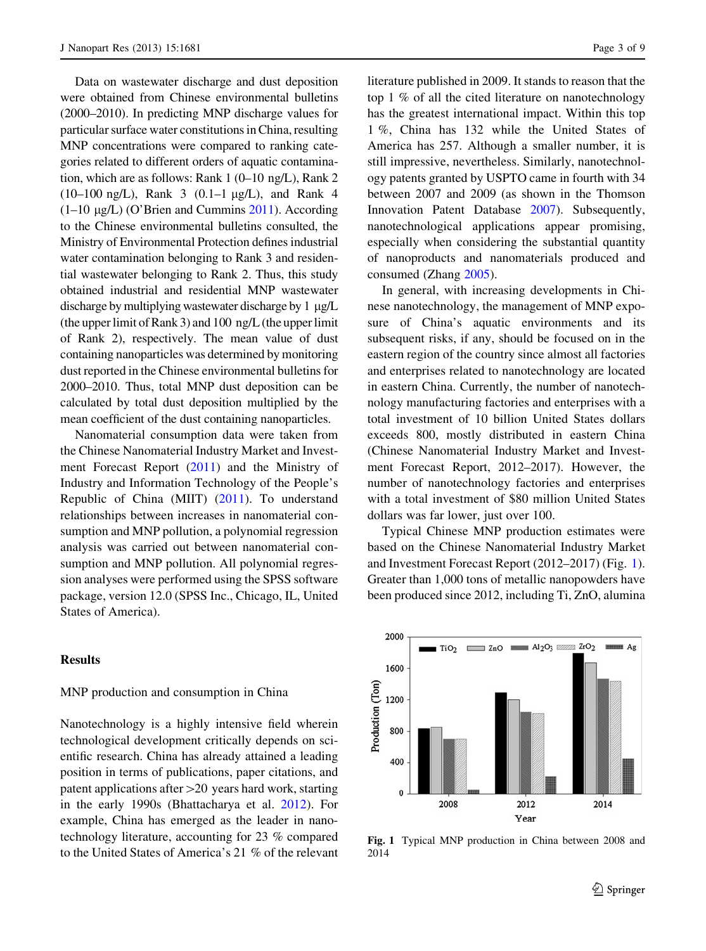Data on wastewater discharge and dust deposition were obtained from Chinese environmental bulletins (2000–2010). In predicting MNP discharge values for particular surface water constitutions in China, resulting MNP concentrations were compared to ranking categories related to different orders of aquatic contamination, which are as follows: Rank 1 (0–10 ng/L), Rank 2  $(10-100 \text{ ng/L})$ , Rank 3  $(0.1-1 \text{ µg/L})$ , and Rank 4  $(1-10 \mu g/L)$  (O'Brien and Cummins [2011\)](#page-8-0). According to the Chinese environmental bulletins consulted, the Ministry of Environmental Protection defines industrial water contamination belonging to Rank 3 and residential wastewater belonging to Rank 2. Thus, this study obtained industrial and residential MNP wastewater discharge by multiplying wastewater discharge by  $1 \mu g/L$ (the upper limit of Rank 3) and 100 ng/L (the upper limit of Rank 2), respectively. The mean value of dust containing nanoparticles was determined by monitoring dust reported in the Chinese environmental bulletins for 2000–2010. Thus, total MNP dust deposition can be calculated by total dust deposition multiplied by the mean coefficient of the dust containing nanoparticles.

Nanomaterial consumption data were taken from the Chinese Nanomaterial Industry Market and Investment Forecast Report ([2011\)](#page-7-0) and the Ministry of Industry and Information Technology of the People's Republic of China (MIIT) ([2011\)](#page-8-0). To understand relationships between increases in nanomaterial consumption and MNP pollution, a polynomial regression analysis was carried out between nanomaterial consumption and MNP pollution. All polynomial regression analyses were performed using the SPSS software package, version 12.0 (SPSS Inc., Chicago, IL, United States of America).

### **Results**

#### MNP production and consumption in China

Nanotechnology is a highly intensive field wherein technological development critically depends on scientific research. China has already attained a leading position in terms of publications, paper citations, and patent applications after  $>20$  years hard work, starting in the early 1990s (Bhattacharya et al. [2012\)](#page-7-0). For example, China has emerged as the leader in nanotechnology literature, accounting for 23 % compared to the United States of America's 21 % of the relevant literature published in 2009. It stands to reason that the top 1 % of all the cited literature on nanotechnology has the greatest international impact. Within this top 1 %, China has 132 while the United States of America has 257. Although a smaller number, it is still impressive, nevertheless. Similarly, nanotechnology patents granted by USPTO came in fourth with 34 between 2007 and 2009 (as shown in the Thomson Innovation Patent Database [2007](#page-8-0)). Subsequently, nanotechnological applications appear promising, especially when considering the substantial quantity of nanoproducts and nanomaterials produced and consumed (Zhang [2005\)](#page-8-0).

In general, with increasing developments in Chinese nanotechnology, the management of MNP exposure of China's aquatic environments and its subsequent risks, if any, should be focused on in the eastern region of the country since almost all factories and enterprises related to nanotechnology are located in eastern China. Currently, the number of nanotechnology manufacturing factories and enterprises with a total investment of 10 billion United States dollars exceeds 800, mostly distributed in eastern China (Chinese Nanomaterial Industry Market and Investment Forecast Report, 2012–2017). However, the number of nanotechnology factories and enterprises with a total investment of \$80 million United States dollars was far lower, just over 100.

Typical Chinese MNP production estimates were based on the Chinese Nanomaterial Industry Market and Investment Forecast Report (2012–2017) (Fig. 1). Greater than 1,000 tons of metallic nanopowders have been produced since 2012, including Ti, ZnO, alumina



Fig. 1 Typical MNP production in China between 2008 and 2014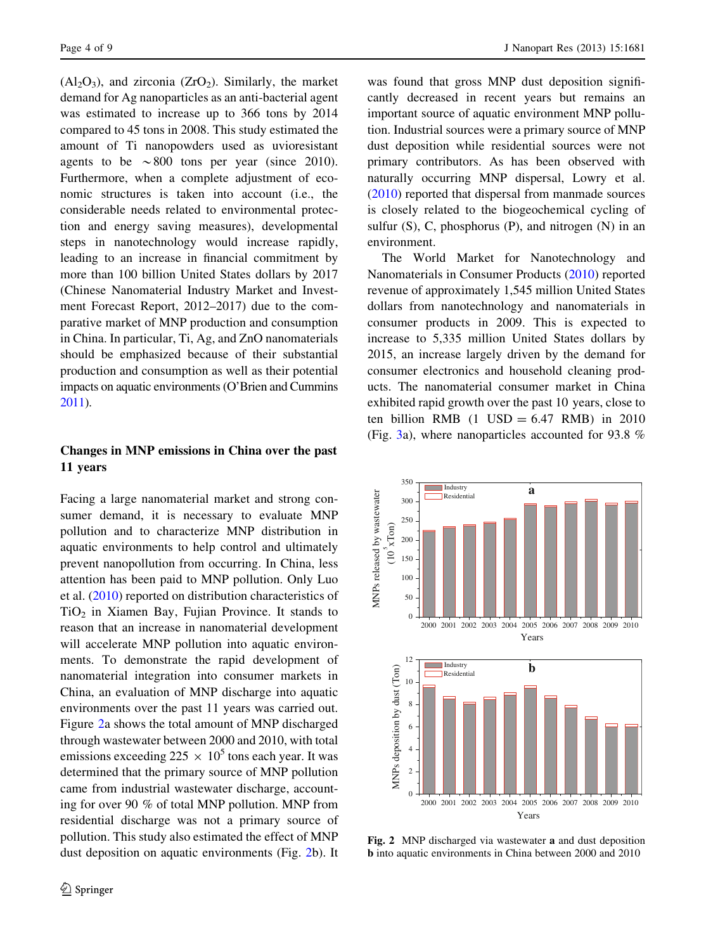$(A<sub>12</sub>O<sub>3</sub>)$ , and zirconia  $(Z<sub>r</sub>O<sub>2</sub>)$ . Similarly, the market demand for Ag nanoparticles as an anti-bacterial agent was estimated to increase up to 366 tons by 2014 compared to 45 tons in 2008. This study estimated the amount of Ti nanopowders used as uvioresistant agents to be  $\sim 800$  tons per year (since 2010). Furthermore, when a complete adjustment of economic structures is taken into account (i.e., the considerable needs related to environmental protection and energy saving measures), developmental steps in nanotechnology would increase rapidly, leading to an increase in financial commitment by more than 100 billion United States dollars by 2017 (Chinese Nanomaterial Industry Market and Investment Forecast Report, 2012–2017) due to the comparative market of MNP production and consumption in China. In particular, Ti, Ag, and ZnO nanomaterials should be emphasized because of their substantial production and consumption as well as their potential impacts on aquatic environments (O'Brien and Cummins [2011\)](#page-8-0).

# Changes in MNP emissions in China over the past 11 years

Facing a large nanomaterial market and strong consumer demand, it is necessary to evaluate MNP pollution and to characterize MNP distribution in aquatic environments to help control and ultimately prevent nanopollution from occurring. In China, less attention has been paid to MNP pollution. Only Luo et al. ([2010\)](#page-8-0) reported on distribution characteristics of  $TiO<sub>2</sub>$  in Xiamen Bay, Fujian Province. It stands to reason that an increase in nanomaterial development will accelerate MNP pollution into aquatic environments. To demonstrate the rapid development of nanomaterial integration into consumer markets in China, an evaluation of MNP discharge into aquatic environments over the past 11 years was carried out. Figure 2a shows the total amount of MNP discharged through wastewater between 2000 and 2010, with total emissions exceeding  $225 \times 10^5$  tons each year. It was determined that the primary source of MNP pollution came from industrial wastewater discharge, accounting for over 90 % of total MNP pollution. MNP from residential discharge was not a primary source of pollution. This study also estimated the effect of MNP dust deposition on aquatic environments (Fig. 2b). It was found that gross MNP dust deposition significantly decreased in recent years but remains an important source of aquatic environment MNP pollution. Industrial sources were a primary source of MNP dust deposition while residential sources were not primary contributors. As has been observed with naturally occurring MNP dispersal, Lowry et al. [\(2010](#page-8-0)) reported that dispersal from manmade sources is closely related to the biogeochemical cycling of sulfur  $(S)$ , C, phosphorus  $(P)$ , and nitrogen  $(N)$  in an environment.

The World Market for Nanotechnology and Nanomaterials in Consumer Products ([2010\)](#page-8-0) reported revenue of approximately 1,545 million United States dollars from nanotechnology and nanomaterials in consumer products in 2009. This is expected to increase to 5,335 million United States dollars by 2015, an increase largely driven by the demand for consumer electronics and household cleaning products. The nanomaterial consumer market in China exhibited rapid growth over the past 10 years, close to ten billion RMB  $(1 \text{ USD} = 6.47 \text{ RMB})$  in 2010 (Fig. [3](#page-4-0)a), where nanoparticles accounted for 93.8 %



Fig. 2 MNP discharged via wastewater a and dust deposition b into aquatic environments in China between 2000 and 2010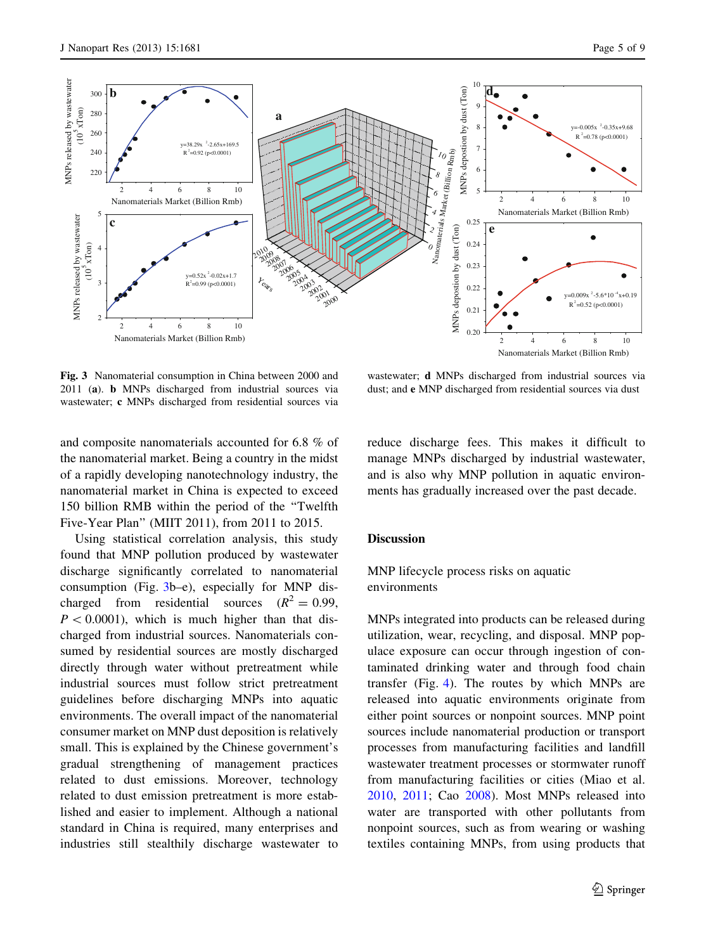<span id="page-4-0"></span>

Fig. 3 Nanomaterial consumption in China between 2000 and 2011 (a). b MNPs discharged from industrial sources via wastewater; c MNPs discharged from residential sources via

and composite nanomaterials accounted for 6.8 % of the nanomaterial market. Being a country in the midst of a rapidly developing nanotechnology industry, the nanomaterial market in China is expected to exceed 150 billion RMB within the period of the ''Twelfth Five-Year Plan'' (MIIT 2011), from 2011 to 2015.

Using statistical correlation analysis, this study found that MNP pollution produced by wastewater discharge significantly correlated to nanomaterial consumption (Fig. 3b–e), especially for MNP discharged from residential sources  $(R^2 = 0.99,$  $P < 0.0001$ ), which is much higher than that discharged from industrial sources. Nanomaterials consumed by residential sources are mostly discharged directly through water without pretreatment while industrial sources must follow strict pretreatment guidelines before discharging MNPs into aquatic environments. The overall impact of the nanomaterial consumer market on MNP dust deposition is relatively small. This is explained by the Chinese government's gradual strengthening of management practices related to dust emissions. Moreover, technology related to dust emission pretreatment is more established and easier to implement. Although a national standard in China is required, many enterprises and industries still stealthily discharge wastewater to

wastewater; d MNPs discharged from industrial sources via dust; and e MNP discharged from residential sources via dust

reduce discharge fees. This makes it difficult to manage MNPs discharged by industrial wastewater, and is also why MNP pollution in aquatic environments has gradually increased over the past decade.

#### Discussion

MNP lifecycle process risks on aquatic environments

MNPs integrated into products can be released during utilization, wear, recycling, and disposal. MNP populace exposure can occur through ingestion of contaminated drinking water and through food chain transfer (Fig. [4](#page-5-0)). The routes by which MNPs are released into aquatic environments originate from either point sources or nonpoint sources. MNP point sources include nanomaterial production or transport processes from manufacturing facilities and landfill wastewater treatment processes or stormwater runoff from manufacturing facilities or cities (Miao et al. [2010,](#page-8-0) [2011](#page-8-0); Cao [2008\)](#page-7-0). Most MNPs released into water are transported with other pollutants from nonpoint sources, such as from wearing or washing textiles containing MNPs, from using products that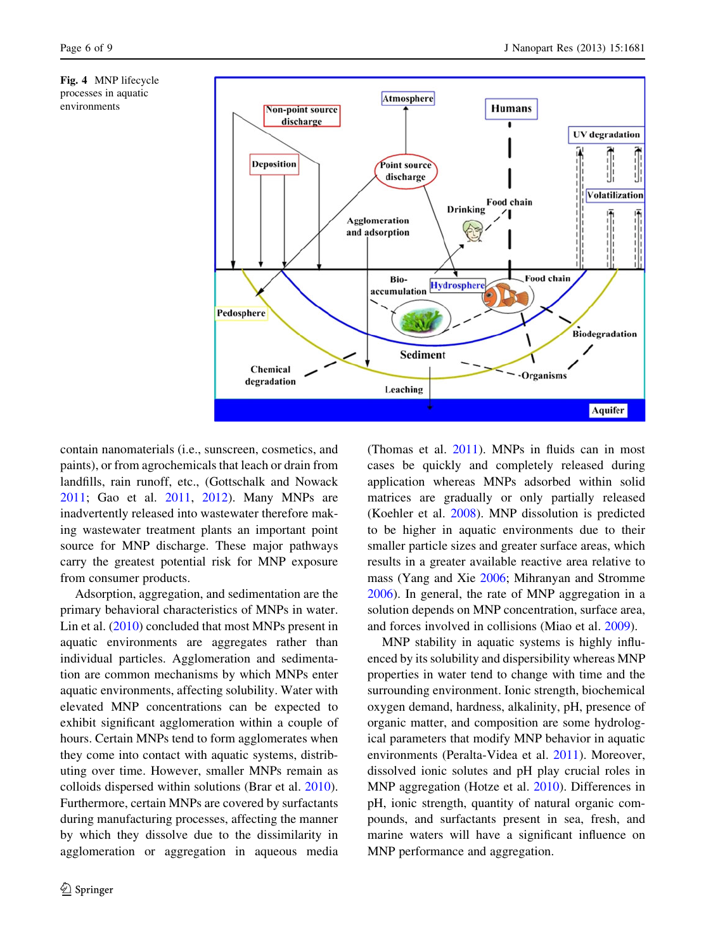<span id="page-5-0"></span>



contain nanomaterials (i.e., sunscreen, cosmetics, and paints), or from agrochemicals that leach or drain from landfills, rain runoff, etc., (Gottschalk and Nowack [2011;](#page-8-0) Gao et al. [2011](#page-7-0), [2012\)](#page-7-0). Many MNPs are inadvertently released into wastewater therefore making wastewater treatment plants an important point source for MNP discharge. These major pathways carry the greatest potential risk for MNP exposure from consumer products.

Adsorption, aggregation, and sedimentation are the primary behavioral characteristics of MNPs in water. Lin et al. ([2010\)](#page-8-0) concluded that most MNPs present in aquatic environments are aggregates rather than individual particles. Agglomeration and sedimentation are common mechanisms by which MNPs enter aquatic environments, affecting solubility. Water with elevated MNP concentrations can be expected to exhibit significant agglomeration within a couple of hours. Certain MNPs tend to form agglomerates when they come into contact with aquatic systems, distributing over time. However, smaller MNPs remain as colloids dispersed within solutions (Brar et al. [2010](#page-7-0)). Furthermore, certain MNPs are covered by surfactants during manufacturing processes, affecting the manner by which they dissolve due to the dissimilarity in agglomeration or aggregation in aqueous media

(Thomas et al. [2011\)](#page-8-0). MNPs in fluids can in most cases be quickly and completely released during application whereas MNPs adsorbed within solid matrices are gradually or only partially released (Koehler et al. [2008](#page-8-0)). MNP dissolution is predicted to be higher in aquatic environments due to their smaller particle sizes and greater surface areas, which results in a greater available reactive area relative to mass (Yang and Xie [2006](#page-8-0); Mihranyan and Stromme [2006\)](#page-8-0). In general, the rate of MNP aggregation in a solution depends on MNP concentration, surface area, and forces involved in collisions (Miao et al. [2009\)](#page-8-0).

MNP stability in aquatic systems is highly influenced by its solubility and dispersibility whereas MNP properties in water tend to change with time and the surrounding environment. Ionic strength, biochemical oxygen demand, hardness, alkalinity, pH, presence of organic matter, and composition are some hydrological parameters that modify MNP behavior in aquatic environments (Peralta-Videa et al. [2011](#page-8-0)). Moreover, dissolved ionic solutes and pH play crucial roles in MNP aggregation (Hotze et al. [2010\)](#page-8-0). Differences in pH, ionic strength, quantity of natural organic compounds, and surfactants present in sea, fresh, and marine waters will have a significant influence on MNP performance and aggregation.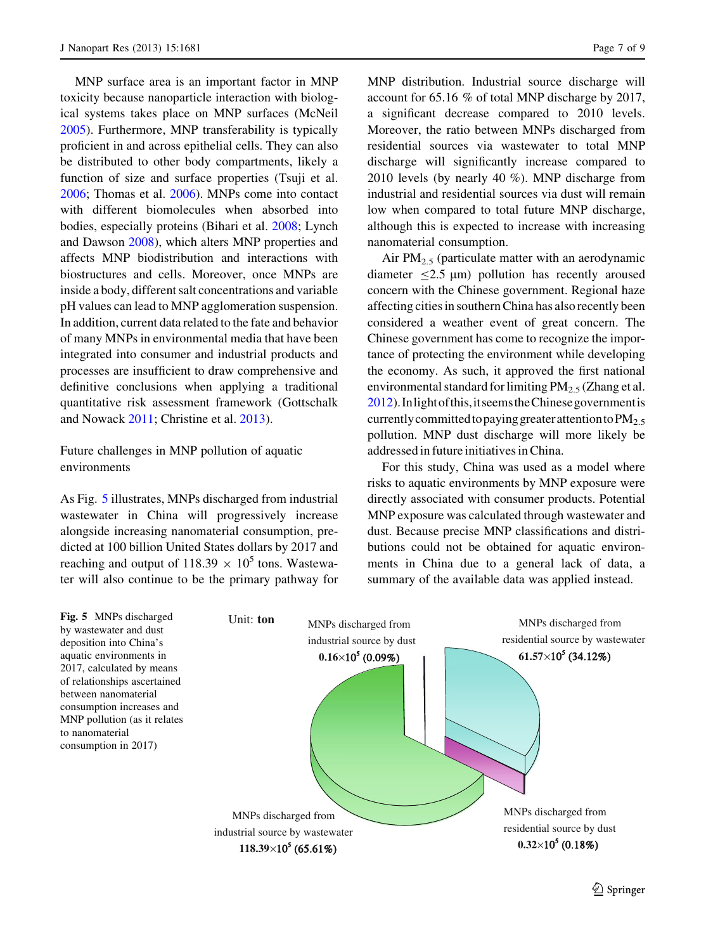MNP surface area is an important factor in MNP toxicity because nanoparticle interaction with biological systems takes place on MNP surfaces (McNeil [2005\)](#page-8-0). Furthermore, MNP transferability is typically proficient in and across epithelial cells. They can also be distributed to other body compartments, likely a function of size and surface properties (Tsuji et al. [2006;](#page-8-0) Thomas et al. [2006\)](#page-8-0). MNPs come into contact with different biomolecules when absorbed into bodies, especially proteins (Bihari et al. [2008;](#page-7-0) Lynch and Dawson [2008\)](#page-8-0), which alters MNP properties and affects MNP biodistribution and interactions with biostructures and cells. Moreover, once MNPs are inside a body, different salt concentrations and variable pH values can lead to MNP agglomeration suspension. In addition, current data related to the fate and behavior of many MNPs in environmental media that have been integrated into consumer and industrial products and processes are insufficient to draw comprehensive and definitive conclusions when applying a traditional quantitative risk assessment framework (Gottschalk and Nowack [2011](#page-8-0); Christine et al. [2013\)](#page-7-0).

Future challenges in MNP pollution of aquatic environments

As Fig. 5 illustrates, MNPs discharged from industrial wastewater in China will progressively increase alongside increasing nanomaterial consumption, predicted at 100 billion United States dollars by 2017 and reaching and output of 118.39  $\times$  10<sup>5</sup> tons. Wastewater will also continue to be the primary pathway for MNP distribution. Industrial source discharge will account for 65.16 % of total MNP discharge by 2017, a significant decrease compared to 2010 levels. Moreover, the ratio between MNPs discharged from residential sources via wastewater to total MNP discharge will significantly increase compared to 2010 levels (by nearly 40 %). MNP discharge from industrial and residential sources via dust will remain low when compared to total future MNP discharge, although this is expected to increase with increasing nanomaterial consumption.

Air  $PM_{2.5}$  (particulate matter with an aerodynamic diameter  $\leq 2.5$  µm) pollution has recently aroused concern with the Chinese government. Regional haze affecting cities in southern China has also recently been considered a weather event of great concern. The Chinese government has come to recognize the importance of protecting the environment while developing the economy. As such, it approved the first national environmental standard for limiting  $PM_{2.5}$  (Zhang et al. [2012\)](#page-8-0).Inlightofthis,itseemstheChinesegovernmentis currently committed to paying greater attention to  $PM<sub>2.5</sub>$ pollution. MNP dust discharge will more likely be addressed in future initiatives in China.

For this study, China was used as a model where risks to aquatic environments by MNP exposure were directly associated with consumer products. Potential MNP exposure was calculated through wastewater and dust. Because precise MNP classifications and distributions could not be obtained for aquatic environments in China due to a general lack of data, a summary of the available data was applied instead.

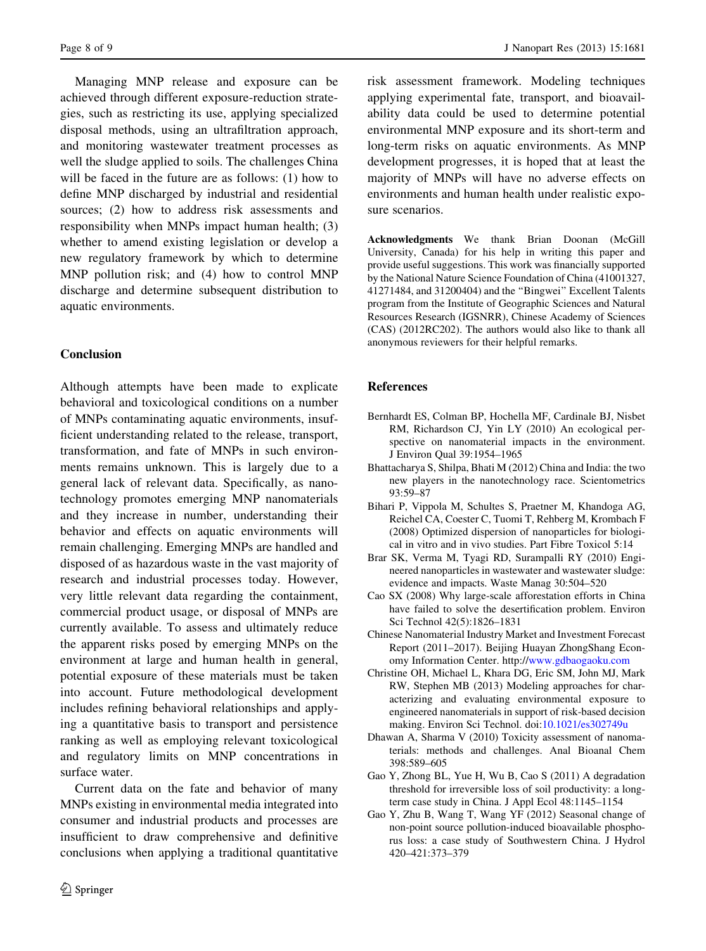<span id="page-7-0"></span>Managing MNP release and exposure can be achieved through different exposure-reduction strategies, such as restricting its use, applying specialized disposal methods, using an ultrafiltration approach, and monitoring wastewater treatment processes as well the sludge applied to soils. The challenges China will be faced in the future are as follows: (1) how to define MNP discharged by industrial and residential sources; (2) how to address risk assessments and responsibility when MNPs impact human health; (3) whether to amend existing legislation or develop a new regulatory framework by which to determine MNP pollution risk; and (4) how to control MNP discharge and determine subsequent distribution to aquatic environments.

# Conclusion

Although attempts have been made to explicate behavioral and toxicological conditions on a number of MNPs contaminating aquatic environments, insufficient understanding related to the release, transport, transformation, and fate of MNPs in such environments remains unknown. This is largely due to a general lack of relevant data. Specifically, as nanotechnology promotes emerging MNP nanomaterials and they increase in number, understanding their behavior and effects on aquatic environments will remain challenging. Emerging MNPs are handled and disposed of as hazardous waste in the vast majority of research and industrial processes today. However, very little relevant data regarding the containment, commercial product usage, or disposal of MNPs are currently available. To assess and ultimately reduce the apparent risks posed by emerging MNPs on the environment at large and human health in general, potential exposure of these materials must be taken into account. Future methodological development includes refining behavioral relationships and applying a quantitative basis to transport and persistence ranking as well as employing relevant toxicological and regulatory limits on MNP concentrations in surface water.

Current data on the fate and behavior of many MNPs existing in environmental media integrated into consumer and industrial products and processes are insufficient to draw comprehensive and definitive conclusions when applying a traditional quantitative

risk assessment framework. Modeling techniques applying experimental fate, transport, and bioavailability data could be used to determine potential environmental MNP exposure and its short-term and long-term risks on aquatic environments. As MNP development progresses, it is hoped that at least the majority of MNPs will have no adverse effects on environments and human health under realistic exposure scenarios.

Acknowledgments We thank Brian Doonan (McGill University, Canada) for his help in writing this paper and provide useful suggestions. This work was financially supported by the National Nature Science Foundation of China (41001327, 41271484, and 31200404) and the ''Bingwei'' Excellent Talents program from the Institute of Geographic Sciences and Natural Resources Research (IGSNRR), Chinese Academy of Sciences (CAS) (2012RC202). The authors would also like to thank all anonymous reviewers for their helpful remarks.

# References

- Bernhardt ES, Colman BP, Hochella MF, Cardinale BJ, Nisbet RM, Richardson CJ, Yin LY (2010) An ecological perspective on nanomaterial impacts in the environment. J Environ Qual 39:1954–1965
- Bhattacharya S, Shilpa, Bhati M (2012) China and India: the two new players in the nanotechnology race. Scientometrics 93:59–87
- Bihari P, Vippola M, Schultes S, Praetner M, Khandoga AG, Reichel CA, Coester C, Tuomi T, Rehberg M, Krombach F (2008) Optimized dispersion of nanoparticles for biological in vitro and in vivo studies. Part Fibre Toxicol 5:14
- Brar SK, Verma M, Tyagi RD, Surampalli RY (2010) Engineered nanoparticles in wastewater and wastewater sludge: evidence and impacts. Waste Manag 30:504–520
- Cao SX (2008) Why large-scale afforestation efforts in China have failed to solve the desertification problem. Environ Sci Technol 42(5):1826–1831
- Chinese Nanomaterial Industry Market and Investment Forecast Report (2011–2017). Beijing Huayan ZhongShang Economy Information Center. http://[www.gdbaogaoku.com](http://www.gdbaogaoku.com)
- Christine OH, Michael L, Khara DG, Eric SM, John MJ, Mark RW, Stephen MB (2013) Modeling approaches for characterizing and evaluating environmental exposure to engineered nanomaterials in support of risk-based decision making. Environ Sci Technol. doi[:10.1021/es302749u](http://dx.doi.org/10.1021/es302749u)
- Dhawan A, Sharma V (2010) Toxicity assessment of nanomaterials: methods and challenges. Anal Bioanal Chem 398:589–605
- Gao Y, Zhong BL, Yue H, Wu B, Cao S (2011) A degradation threshold for irreversible loss of soil productivity: a longterm case study in China. J Appl Ecol 48:1145–1154
- Gao Y, Zhu B, Wang T, Wang YF (2012) Seasonal change of non-point source pollution-induced bioavailable phosphorus loss: a case study of Southwestern China. J Hydrol 420–421:373–379